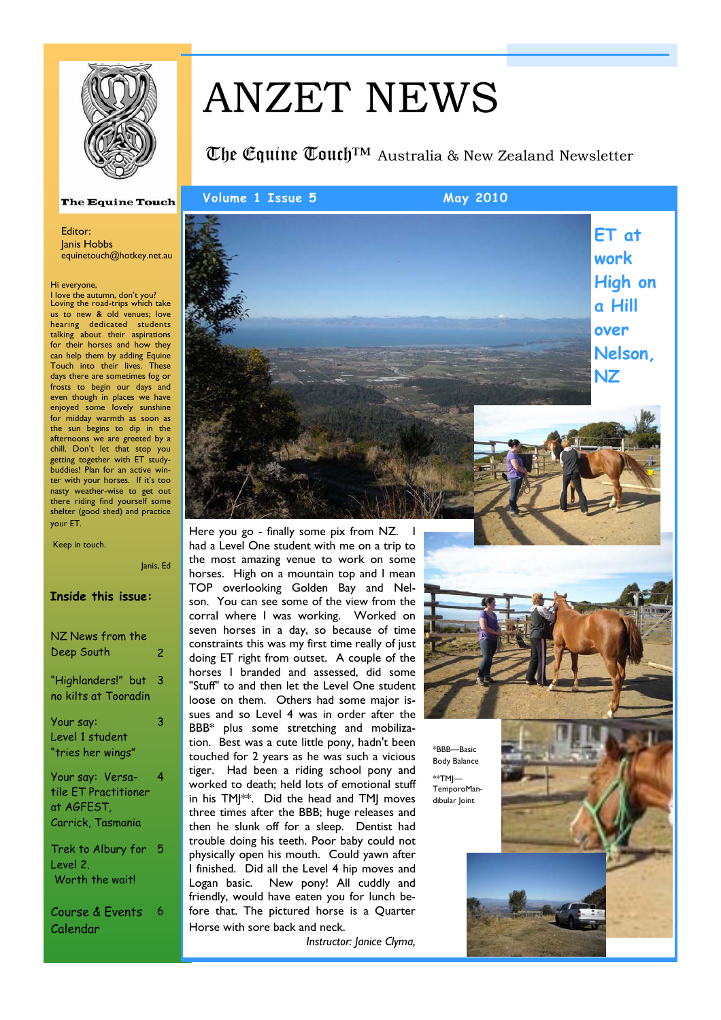

# ANZET NEWS

# The Equine Touch™ - Australia & New Zealand Newsletter

#### **The Equine Touch**

#### Editor: Janis Hobbs equinetouch@hotkey.net.au

Hi everyone,

I love the autumn, don't you? Loving the road-trips which take us to new & old venues; love hearing dedicated students talking about their aspirations for their horses and how they can help them by adding Equine Touch into their lives. These days there are sometimes fog or frosts to begin our days and even though in places we have enjoyed some lovely sunshine for midday warmth as soon as the sun begins to dip in the afternoons we are greeted by a chill. Don't let that stop you getting together with ET studybuddies! Plan for an active winter with your horses. If it's too nasty weather-wise to get out there riding find yourself some shelter (good shed) and practice your ET.

Janis, Ed

#### Keep in touch.

| <b>Inside this issue:</b>                                                   |     |
|-----------------------------------------------------------------------------|-----|
| NZ News from the<br>Deep South                                              | 2   |
| "Highlanders!" but<br>no kilts at Tooradin                                  | 3   |
| Your say:<br>Level 1 student<br>"tries her wings"                           | 3   |
| Your say: Versa-<br>tile ET Practitioner<br>at AGFEST.<br>Carrick, Tasmania | 4   |
| Trek to Albury for<br>Level 2.<br>Worth the wait!                           | - 5 |

Course & Events Calendar 6



Here you go - finally some pix from NZ. I had a Level One student with me on a trip to the most amazing venue to work on some horses. High on a mountain top and I mean TOP overlooking Golden Bay and Nelson. You can see some of the view from the corral where I was working. Worked on seven horses in a day, so because of time constraints this was my first time really of just doing ET right from outset. A couple of the horses I branded and assessed, did some "Stuff" to and then let the Level One student loose on them. Others had some major issues and so Level 4 was in order after the BBB\* plus some stretching and mobilization. Best was a cute little pony, hadn't been touched for 2 years as he was such a vicious tiger. Had been a riding school pony and worked to death; held lots of emotional stuff in his TMJ\*\*. Did the head and TMJ moves three times after the BBB; huge releases and then he slunk off for a sleep. Dentist had trouble doing his teeth. Poor baby could not physically open his mouth. Could yawn after I finished. Did all the Level 4 hip moves and Logan basic. New pony! All cuddly and friendly, would have eaten you for lunch before that. The pictured horse is a Quarter Horse with sore back and neck.

*Instructor: Janice Clyma,* 



\*BBB—Basic Body Balance  $*$ TMI $-$ TemporoMandibular loint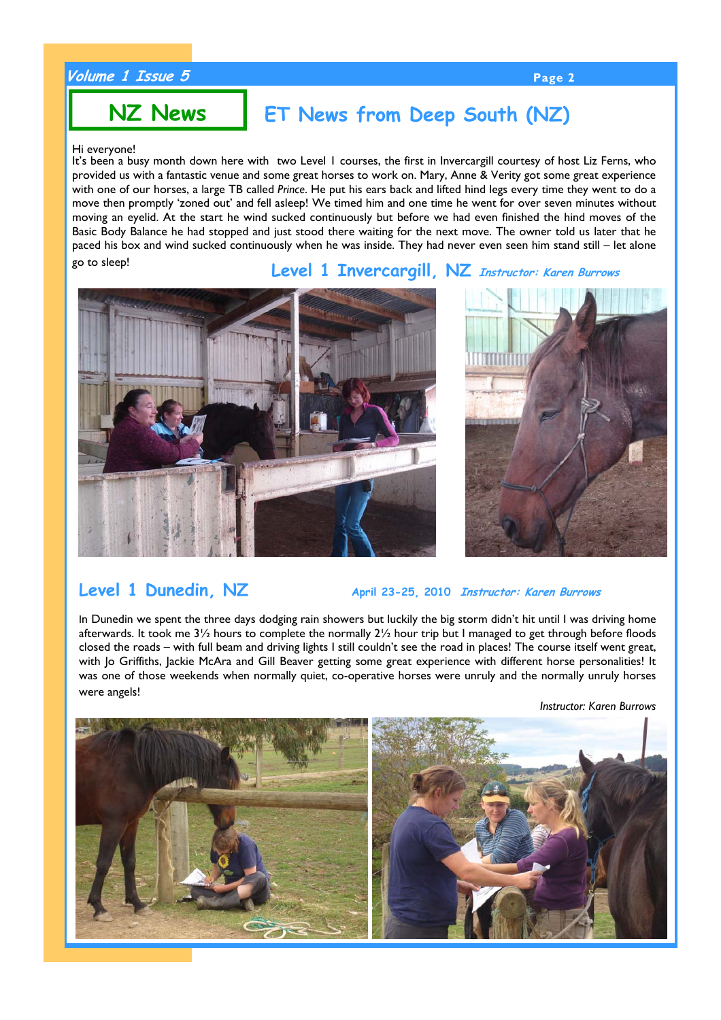## **Volume 1 Issue 5 Page 2**

# **NZ News**

# **ET News from Deep South (NZ)**

### Hi everyone!

It's been a busy month down here with two Level I courses, the first in Invercargill courtesy of host Liz Ferns, who provided us with a fantastic venue and some great horses to work on. Mary, Anne & Verity got some great experience with one of our horses, a large TB called *Prince*. He put his ears back and lifted hind legs every time they went to do a move then promptly 'zoned out' and fell asleep! We timed him and one time he went for over seven minutes without moving an eyelid. At the start he wind sucked continuously but before we had even finished the hind moves of the Basic Body Balance he had stopped and just stood there waiting for the next move. The owner told us later that he paced his box and wind sucked continuously when he was inside. They had never even seen him stand still – let alone go to sleep!

# **Level 1 Invercargill, NZ Instructor: Karen Burrows**





**Level 1 Dunedin, NZ** April 23-25, 2010 *Instructor: Karen Burrows* 

In Dunedin we spent the three days dodging rain showers but luckily the big storm didn't hit until I was driving home afterwards. It took me  $3\frac{1}{2}$  hours to complete the normally  $2\frac{1}{2}$  hour trip but I managed to get through before floods closed the roads – with full beam and driving lights I still couldn't see the road in places! The course itself went great, with Jo Griffiths, Jackie McAra and Gill Beaver getting some great experience with different horse personalities! It was one of those weekends when normally quiet, co-operative horses were unruly and the normally unruly horses were angels!

*Instructor: Karen Burrows* 

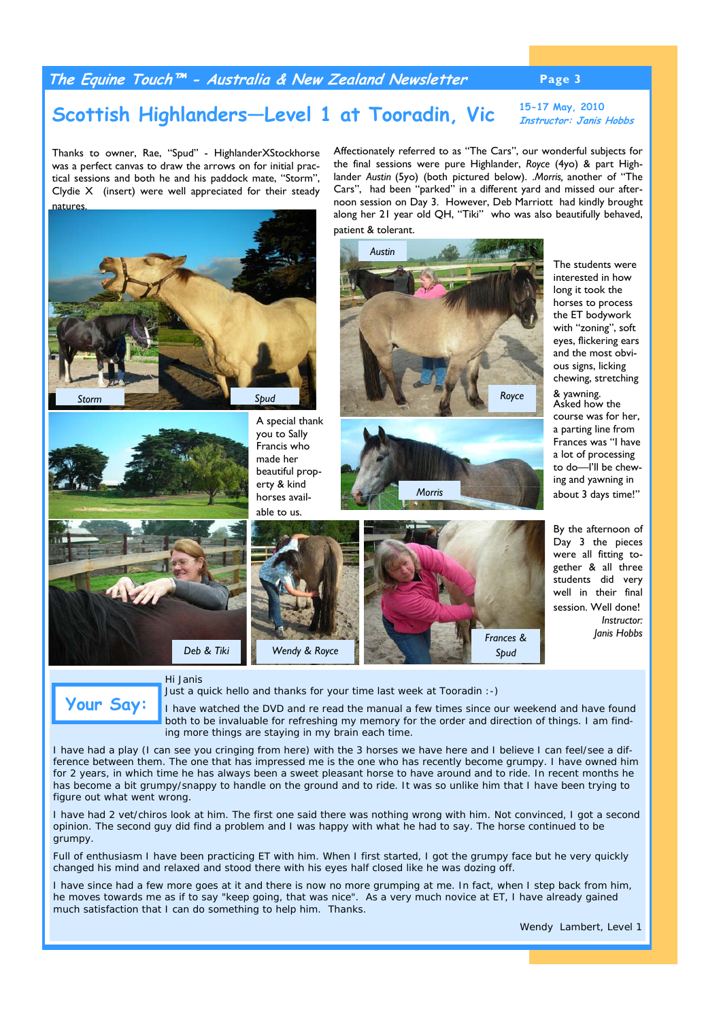### **The Equine Touch™ - Australia & New Zealand Newsletter Page 3**

### Scottish Highlanders—Level 1 at Tooradin, Vic **Instructor: Janis 1 Instructor: Janis Hobbs**

Thanks to owner, Rae, "Spud" - HighlanderXStockhorse was a perfect canvas to draw the arrows on for initial practical sessions and both he and his paddock mate, "Storm", Clydie X (insert) were well appreciated for their steady natures.

Affectionately referred to as "The Cars", our wonderful subjects for the final sessions were pure Highlander, *Royce* (4yo) & part Highlander *Austin* (5yo) (both pictured below). .*Morris,* another of "The Cars", had been "parked" in a different yard and missed our afternoon session on Day 3. However, Deb Marriott had kindly brought along her 21 year old QH, "Tiki" who was also beautifully behaved, patient & tolerant.



The students were interested in how long it took the horses to process the ET bodywork with "zoning", soft eyes, flickering ears and the most obvious signs, licking chewing, stretching & yawning.

Asked how the course was for her, a parting line from Frances was "I have a lot of processing to do—I'll be chewing and yawning in about 3 days time!"

By the afternoon of Day 3 the pieces were all fitting together & all three students did very well in their final session. Well done! *Instructor: Janis Hobbs* 

#### *Hi Janis*

*Just a quick hello and thanks for your time last week at Tooradin :-)* 

*I have watched the DVD and re read the manual a few times since our weekend and have found both to be invaluable for refreshing my memory for the order and direction of things. I am finding more things are staying in my brain each time.*  **Your Say:** 

*I have had a play (I can see you cringing from here) with the 3 horses we have here and I believe I can feel/see a difference between them. The one that has impressed me is the one who has recently become grumpy. I have owned him for 2 years, in which time he has always been a sweet pleasant horse to have around and to ride. In recent months he has become a bit grumpy/snappy to handle on the ground and to ride. It was so unlike him that I have been trying to figure out what went wrong.* 

*I have had 2 vet/chiros look at him. The first one said there was nothing wrong with him. Not convinced, I got a second opinion. The second guy did find a problem and I was happy with what he had to say. The horse continued to be grumpy.* 

*Full of enthusiasm I have been practicing ET with him. When I first started, I got the grumpy face but he very quickly changed his mind and relaxed and stood there with his eyes half closed like he was dozing off.* 

*I have since had a few more goes at it and there is now no more grumping at me. In fact, when I step back from him,* he moves towards me as if to say "keep going, that was nice". As a very much novice at ET, I have already gained *much satisfaction that I can do something to help him. Thanks.*

*Wendy Lambert, Level 1*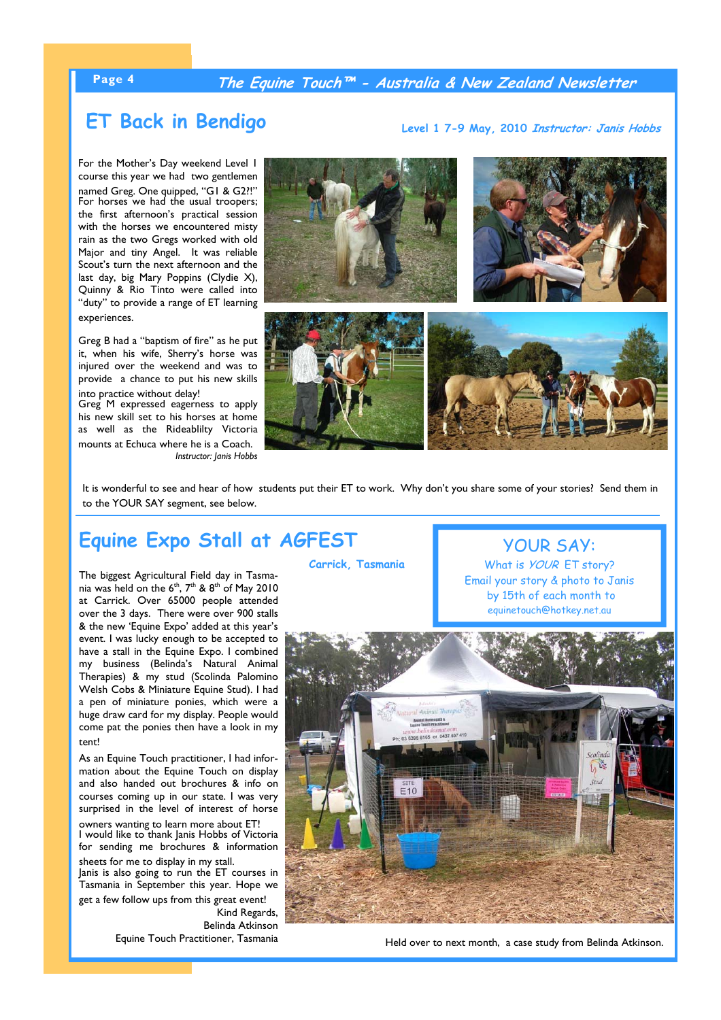### **Page 4 The Equine Touch™ - Australia & New Zealand Newsletter**

**ET Back in Bendigo** Level 1 7-9 May, 2010 *Instructor: Janis Hobbs* 

For the Mother's Day weekend Level 1 course this year we had two gentlemen named Greg. One quipped, "G1 & G2?!" For horses we had the usual troopers; the first afternoon's practical session with the horses we encountered misty rain as the two Gregs worked with old Major and tiny Angel. It was reliable Scout's turn the next afternoon and the last day, big Mary Poppins (Clydie X), Quinny & Rio Tinto were called into "duty" to provide a range of ET learning experiences.

Greg B had a "baptism of fire" as he put it, when his wife, Sherry's horse was injured over the weekend and was to provide a chance to put his new skills into practice without delay!

Greg M expressed eagerness to apply his new skill set to his horses at home as well as the Rideablilty Victoria mounts at Echuca where he is a Coach. *Instructor: Janis Hobbs* 



It is wonderful to see and hear of how students put their ET to work. Why don't you share some of your stories? Send them in to the YOUR SAY segment, see below.

# **Equine Expo Stall at AGFEST**

The biggest Agricultural Field day in Tasmania was held on the  $6<sup>th</sup>$ ,  $7<sup>th</sup>$  &  $8<sup>th</sup>$  of May 2010 at Carrick. Over 65000 people attended over the 3 days. There were over 900 stalls & the new 'Equine Expo' added at this year's event. I was lucky enough to be accepted to have a stall in the Equine Expo. I combined my business (Belinda's Natural Animal Therapies) & my stud (Scolinda Palomino Welsh Cobs & Miniature Equine Stud). I had a pen of miniature ponies, which were a huge draw card for my display. People would come pat the ponies then have a look in my tent!

As an Equine Touch practitioner, I had information about the Equine Touch on display and also handed out brochures & info on courses coming up in our state. I was very surprised in the level of interest of horse owners wanting to learn more about ET! I would like to thank Janis Hobbs of Victoria for sending me brochures & information

sheets for me to display in my stall. Janis is also going to run the ET courses in Tasmania in September this year. Hope we get a few follow ups from this great event! Kind Regards, Belinda Atkinson Equine Touch Practitioner, Tasmania

**Carrick, Tasmania**

YOUR SAY:

What is *YOUR* ET story? Email your story & photo to Janis by 15th of each month to equinetouch@hotkey.net.au



Held over to next month, a case study from Belinda Atkinson.